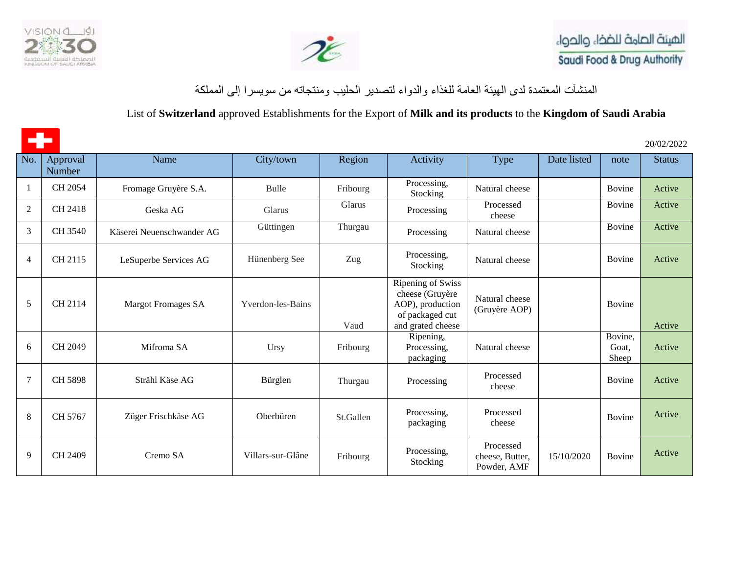



المنشآت المعتمدة لدى الهيئة العامة للغذاء والدواء لتصدير الحليب ومنتجاته من سويسرا إلى المملكة

## List of **Switzerland** approved Establishments for the Export of **Milk and its products** to the **Kingdom of Saudi Arabia**

÷ 20/02/2022 No. Approval Name | City/town | Region | Activity | Type | Date listed | note | Status Number 1 CH 2054 Fromage Gruyère S.A. Bulle Fribourg Processing, Natural cheese | Bovine Active 2 CH 2418 Geska AG Glarus Glarus Glarus Processing Processed Bovine Active cheese 3 CH 3540 Käserei Neuenschwander AG [Güttingen](https://www.google.com/search?rlz=1C1GCEA_enSA876SA876&source=univ&tbm=isch&q=g%C3%BCttingen&sa=X&ved=2ahUKEwikrvvQ86vqAhUHJBoKHe5vAcIQsAR6BAgHEAE) Thurgau Processing Natural cheese Bovine Active 4 CH 2115 LeSuperbe Services AG [Hünenberg](https://en.wikipedia.org/wiki/H%C3%BCnenberg) See Zug Processing, Natural cheese Bovine Active Ripening of Swiss cheese (Gruyère Natural cheese 5 CH 2114 Margot Fromages SA Yverdon-les-Bains AOP), production (Gruyère AOP) Bovine of packaged cut and grated cheese Vaud Active Bovine, Ripening, 6 CH 2049 Mifroma SA Ursy Fribourg Processing, Natural cheese Goat, Active packaging Sheep 7 CH 5898 [Strähl Käse AG](https://www.straehl.ch/) Bürglen Thurgau Processing Processed Bovine Active cheese 8 CH 5767 [Züger Frischkäse AG](https://www.frischkaese.ch/de/) Oberbüren St.Gallen Processing, Processed rocessed Bovine Bovine Active packaging Processed 9 CH 2409 Cremo SA [Villars-sur-Glâne](https://en.wikipedia.org/wiki/Villars-sur-Gl%C3%A2ne) Fribourg Processing, 15/10/2020 Bovine Activecheese, Butter, Stocking Powder, AMF